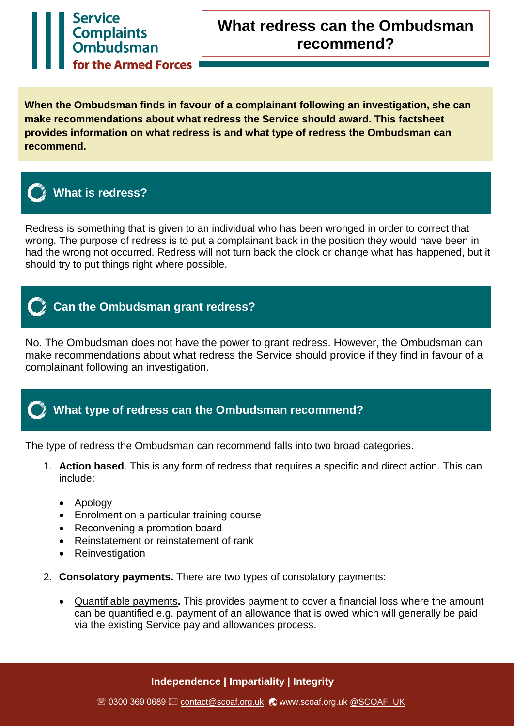

**When the Ombudsman finds in favour of a complainant following an investigation, she can make recommendations about what redress the Service should award. This factsheet provides information on what redress is and what type of redress the Ombudsman can recommend.** 



## **What is redress?**

Redress is something that is given to an individual who has been wronged in order to correct that wrong. The purpose of redress is to put a complainant back in the position they would have been in had the wrong not occurred. Redress will not turn back the clock or change what has happened, but it should try to put things right where possible.



## **Can the Ombudsman grant redress?**

No. The Ombudsman does not have the power to grant redress. However, the Ombudsman can make recommendations about what redress the Service should provide if they find in favour of a complainant following an investigation.

## **What type of redress can the Ombudsman recommend?**

The type of redress the Ombudsman can recommend falls into two broad categories.

- 1. **Action based**. This is any form of redress that requires a specific and direct action. This can include:
	- Apology
	- Enrolment on a particular training course
	- Reconvening a promotion board
	- Reinstatement or reinstatement of rank
	- Reinvestigation
- 2. **Consolatory payments.** There are two types of consolatory payments:
	- Quantifiable payments**.** This provides payment to cover a financial loss where the amount can be quantified e.g. payment of an allowance that is owed which will generally be paid via the existing Service pay and allowances process.

### **Independence | Impartiality | Integrity**